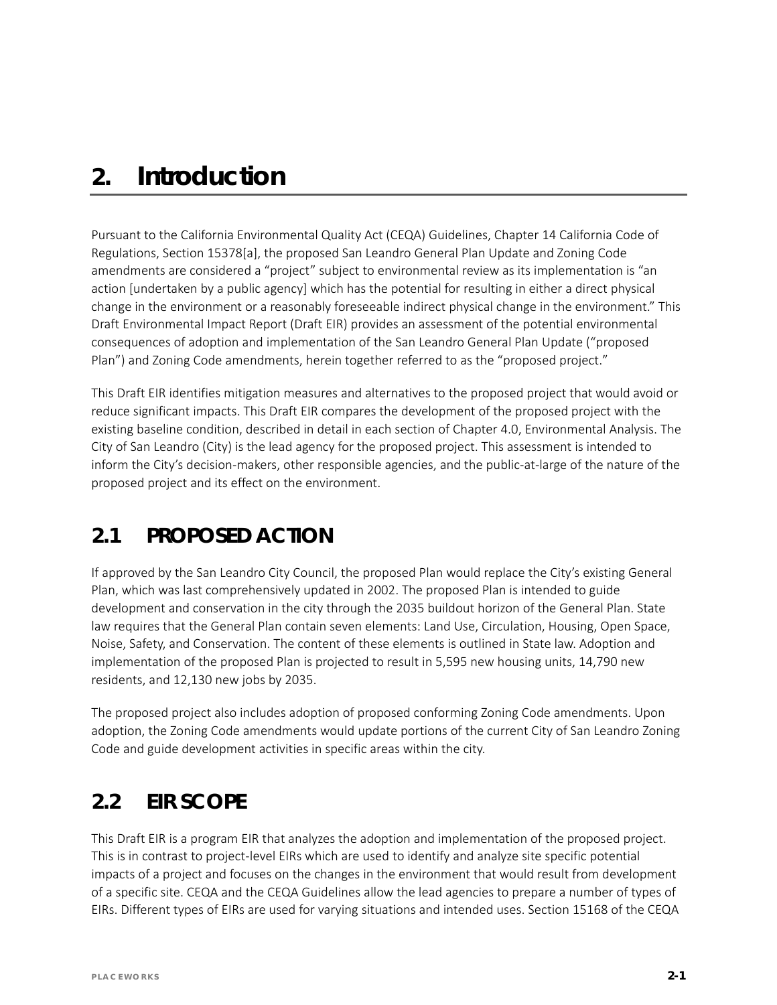# *2. Introduction*

Pursuant to the California Environmental Quality Act (CEQA) Guidelines, Chapter 14 California Code of Regulations, Section 15378[a], the proposed San Leandro General Plan Update and Zoning Code amendments are considered a "project" subject to environmental review as its implementation is "an action [undertaken by a public agency] which has the potential for resulting in either a direct physical change in the environment or a reasonably foreseeable indirect physical change in the environment." This Draft Environmental Impact Report (Draft EIR) provides an assessment of the potential environmental consequences of adoption and implementation of the San Leandro General Plan Update ("proposed Plan") and Zoning Code amendments, herein together referred to as the "proposed project."

This Draft EIR identifies mitigation measures and alternatives to the proposed project that would avoid or reduce significant impacts. This Draft EIR compares the development of the proposed project with the existing baseline condition, described in detail in each section of Chapter 4.0, Environmental Analysis. The City of San Leandro (City) is the lead agency for the proposed project. This assessment is intended to inform the City's decision-makers, other responsible agencies, and the public-at-large of the nature of the proposed project and its effect on the environment.

### **2.1 PROPOSED ACTION**

If approved by the San Leandro City Council, the proposed Plan would replace the City's existing General Plan, which was last comprehensively updated in 2002. The proposed Plan is intended to guide development and conservation in the city through the 2035 buildout horizon of the General Plan. State law requires that the General Plan contain seven elements: Land Use, Circulation, Housing, Open Space, Noise, Safety, and Conservation. The content of these elements is outlined in State law. Adoption and implementation of the proposed Plan is projected to result in 5,595 new housing units, 14,790 new residents, and 12,130 new jobs by 2035.

The proposed project also includes adoption of proposed conforming Zoning Code amendments. Upon adoption, the Zoning Code amendments would update portions of the current City of San Leandro Zoning Code and guide development activities in specific areas within the city.

## **2.2 EIR SCOPE**

This Draft EIR is a program EIR that analyzes the adoption and implementation of the proposed project. This is in contrast to project-level EIRs which are used to identify and analyze site specific potential impacts of a project and focuses on the changes in the environment that would result from development of a specific site. CEQA and the CEQA Guidelines allow the lead agencies to prepare a number of types of EIRs. Different types of EIRs are used for varying situations and intended uses. Section 15168 of the CEQA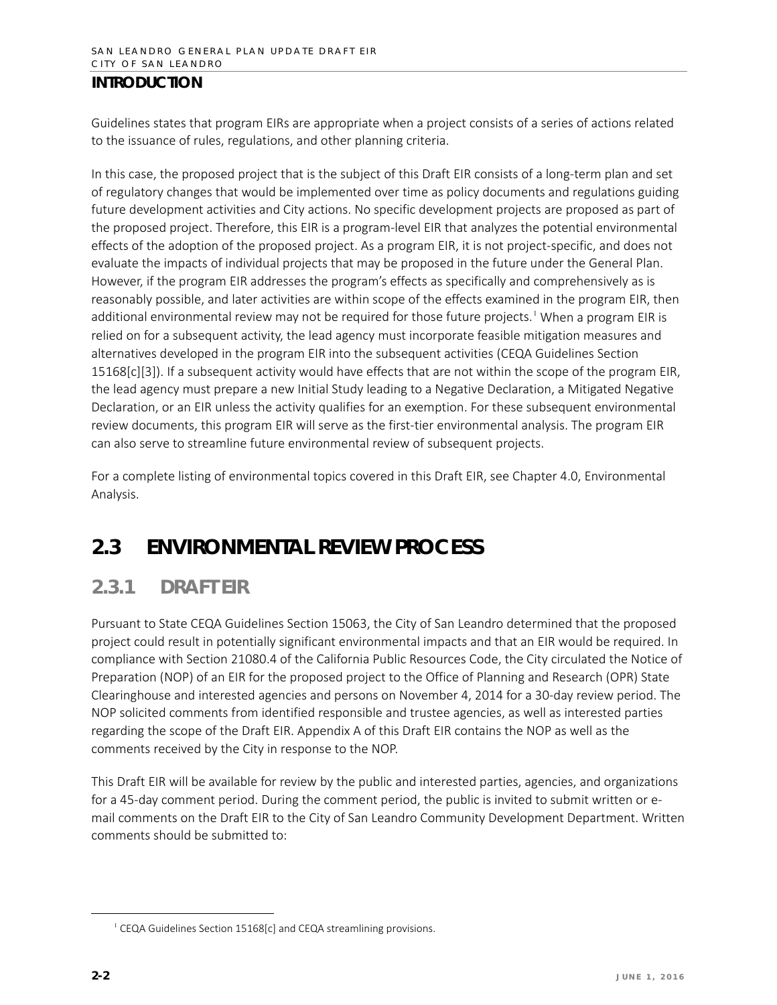#### **INTRODUCTION**

Guidelines states that program EIRs are appropriate when a project consists of a series of actions related to the issuance of rules, regulations, and other planning criteria.

In this case, the proposed project that is the subject of this Draft EIR consists of a long-term plan and set of regulatory changes that would be implemented over time as policy documents and regulations guiding future development activities and City actions. No specific development projects are proposed as part of the proposed project. Therefore, this EIR is a program-level EIR that analyzes the potential environmental effects of the adoption of the proposed project. As a program EIR, it is not project-specific, and does not evaluate the impacts of individual projects that may be proposed in the future under the General Plan. However, if the program EIR addresses the program's effects as specifically and comprehensively as is reasonably possible, and later activities are within scope of the effects examined in the program EIR, then additional environmental review may not be required for those future projects.<sup>[1](#page-1-0)</sup> When a program EIR is relied on for a subsequent activity, the lead agency must incorporate feasible mitigation measures and alternatives developed in the program EIR into the subsequent activities (CEQA Guidelines Section 15168[c][3]). If a subsequent activity would have effects that are not within the scope of the program EIR, the lead agency must prepare a new Initial Study leading to a Negative Declaration, a Mitigated Negative Declaration, or an EIR unless the activity qualifies for an exemption. For these subsequent environmental review documents, this program EIR will serve as the first-tier environmental analysis. The program EIR can also serve to streamline future environmental review of subsequent projects.

For a complete listing of environmental topics covered in this Draft EIR, see Chapter 4.0, Environmental Analysis.

### **2.3 ENVIRONMENTAL REVIEW PROCESS**

### **2.3.1 DRAFT EIR**

Pursuant to State CEQA Guidelines Section 15063, the City of San Leandro determined that the proposed project could result in potentially significant environmental impacts and that an EIR would be required. In compliance with Section 21080.4 of the California Public Resources Code, the City circulated the Notice of Preparation (NOP) of an EIR for the proposed project to the Office of Planning and Research (OPR) State Clearinghouse and interested agencies and persons on November 4, 2014 for a 30-day review period. The NOP solicited comments from identified responsible and trustee agencies, as well as interested parties regarding the scope of the Draft EIR. Appendix A of this Draft EIR contains the NOP as well as the comments received by the City in response to the NOP.

This Draft EIR will be available for review by the public and interested parties, agencies, and organizations for a 45-day comment period. During the comment period, the public is invited to submit written or email comments on the Draft EIR to the City of San Leandro Community Development Department. Written comments should be submitted to:

<span id="page-1-0"></span> $\overline{a}$ 

<sup>&</sup>lt;sup>1</sup> CEQA Guidelines Section 15168[c] and CEQA streamlining provisions.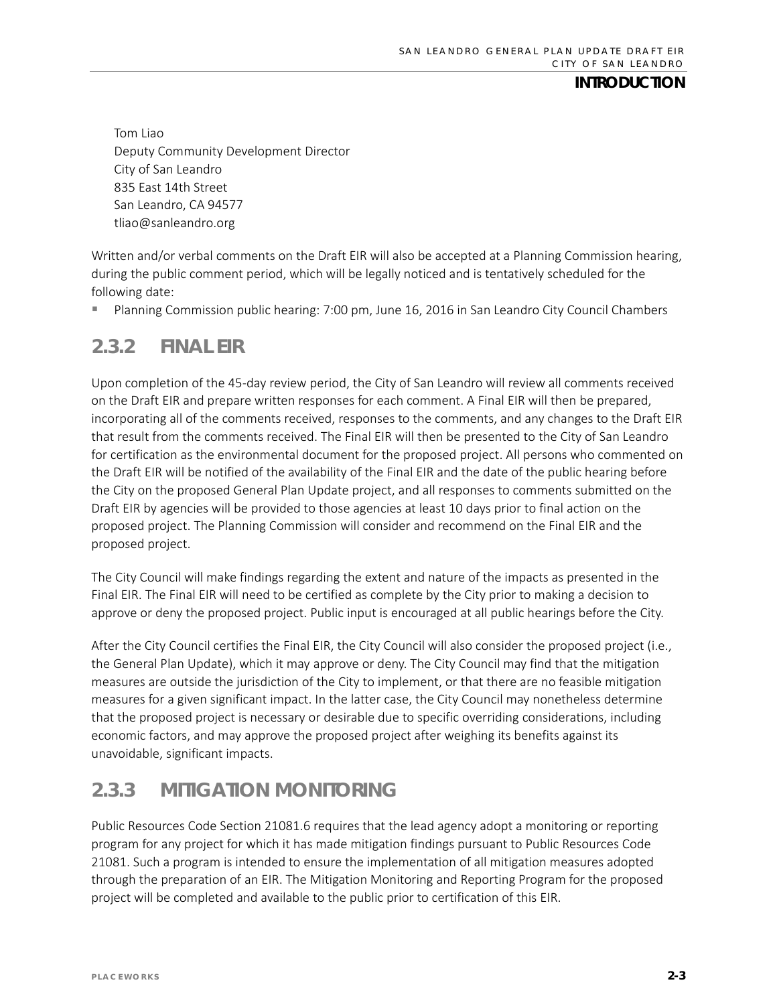#### **INTRODUCTION**

Tom Liao Deputy Community Development Director City of San Leandro 835 East 14th Street San Leandro, CA 94577 [tliao@sanleandro.org](mailto:tliao@sanleandro.org)

Written and/or verbal comments on the Draft EIR will also be accepted at a Planning Commission hearing, during the public comment period, which will be legally noticed and is tentatively scheduled for the following date:

Planning Commission public hearing: 7:00 pm, June 16, 2016 in San Leandro City Council Chambers

#### **2.3.2 FINAL EIR**

Upon completion of the 45-day review period, the City of San Leandro will review all comments received on the Draft EIR and prepare written responses for each comment. A Final EIR will then be prepared, incorporating all of the comments received, responses to the comments, and any changes to the Draft EIR that result from the comments received. The Final EIR will then be presented to the City of San Leandro for certification as the environmental document for the proposed project. All persons who commented on the Draft EIR will be notified of the availability of the Final EIR and the date of the public hearing before the City on the proposed General Plan Update project, and all responses to comments submitted on the Draft EIR by agencies will be provided to those agencies at least 10 days prior to final action on the proposed project. The Planning Commission will consider and recommend on the Final EIR and the proposed project.

The City Council will make findings regarding the extent and nature of the impacts as presented in the Final EIR. The Final EIR will need to be certified as complete by the City prior to making a decision to approve or deny the proposed project. Public input is encouraged at all public hearings before the City.

After the City Council certifies the Final EIR, the City Council will also consider the proposed project (i.e., the General Plan Update), which it may approve or deny. The City Council may find that the mitigation measures are outside the jurisdiction of the City to implement, or that there are no feasible mitigation measures for a given significant impact. In the latter case, the City Council may nonetheless determine that the proposed project is necessary or desirable due to specific overriding considerations, including economic factors, and may approve the proposed project after weighing its benefits against its unavoidable, significant impacts.

### **2.3.3 MITIGATION MONITORING**

Public Resources Code Section 21081.6 requires that the lead agency adopt a monitoring or reporting program for any project for which it has made mitigation findings pursuant to Public Resources Code 21081. Such a program is intended to ensure the implementation of all mitigation measures adopted through the preparation of an EIR. The Mitigation Monitoring and Reporting Program for the proposed project will be completed and available to the public prior to certification of this EIR.